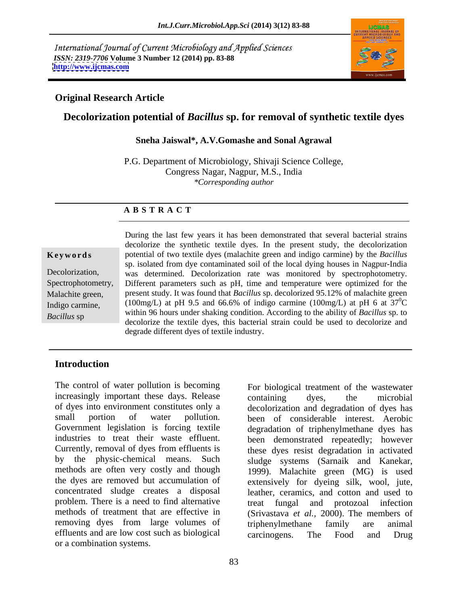International Journal of Current Microbiology and Applied Sciences *ISSN: 2319-7706* **Volume 3 Number 12 (2014) pp. 83-88 <http://www.ijcmas.com>**



### **Original Research Article**

# **Decolorization potential of** *Bacillus* **sp. for removal of synthetic textile dyes**

### **Sneha Jaiswal\*, A.V.Gomashe and Sonal Agrawal**

P.G. Department of Microbiology, Shivaji Science College, Congress Nagar, Nagpur, M.S., India *\*Corresponding author*

### **A B S T R A C T**

For biological treatment of the wastewater<br>For biological treatment of the wastewater **Keywords** potential of two textile dyes (malachite green and indigo carmine) by the *Bacillus* Decolorization, was determined. Decolorization rate was monitored by spectrophotometry. Spectrophotometry, Different parameters such as pH, time and temperature were optimized for the Malachite green, present study. It was found that *Bacillus* sp. decolorized 95.12% of malachite green Indigo carmine, (100mg/L) at pH 9.5 and 66.6% of indigo carmine (100mg/L) at pH 6 at  $37^{\circ}$ C *Bacillus* sp<br>decolorize the textile dyes, this bacterial strain could be used to decolorize and During the last few years it has been demonstrated that several bacterial strains decolorize the synthetic textile dyes. In the present study, the decolorization sp. isolated from dye contaminated soil of the local dying houses in Nagpur-India  ${}^{0}C$ within 96 hours under shaking condition. According to the ability of *Bacillus* sp. to degrade different dyes of textile industry.

## **Introduction**

The control of water pollution is becoming For biological treatment of the wastewater increasingly important these days. Release containing dyes, the microbial of dyes into environment constitutes only a decolorization and degradation of dyes has small portion of water pollution. been of considerable interest. Aerobic Government legislation is forcing textile degradation of triphenylmethane dyes has industries to treat their waste effluent. been demonstrated repeatedly; however Currently, removal of dyes from effluents is these dyes resist degradation in activated by the physic-chemical means. Such sludge systems (Sarnaik and Kanekar, methods are often very costly and though 1999). Malachite green (MG) is used the dyes are removed but accumulation of extensively for dyeing silk, wool, jute, concentrated sludge creates a disposal leather, ceramics, and cotton and used to problem. There is a need to find alternative treat fungal and protozoal infection methods of treatment that are effective in (Srivastava *et al.,* 2000). The members of removing dyes from large volumes of triphenylmethane family are animal effluents and are low cost such as biological carcinogens. The Food and Drug or a combination systems.

containing dyes, the microbial sludge systems (Sarnaik and Kanekar, 1999). Malachite green (MG) is used treat fungal and protozoal triphenylmethane family are animal carcinogens. The Food and Drug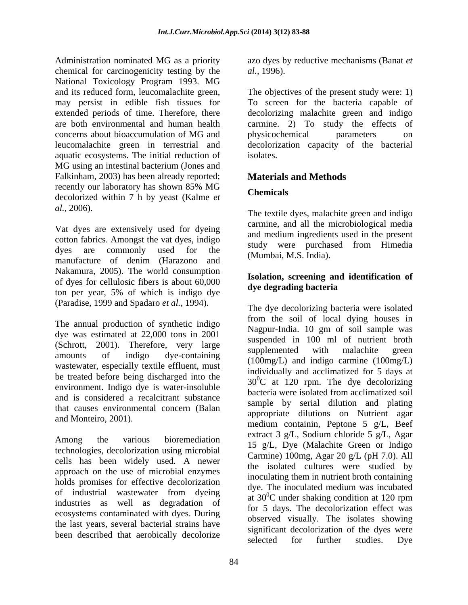Administration nominated MG as a priority azo dyes by reductive mechanisms (Banat *et*  chemical for carcinogenicity testing by the *al.*, 1996). National Toxicology Program 1993. MG and its reduced form, leucomalachite green, The objectives of the present study were: 1) may persist in edible fish tissues for To screen for the bacteria capable of extended periods of time. Therefore, there decolorizing malachite green and indigo are both environmental and human health carmine. 2) To study the effects of concerns about bioaccumulation of MG and leucomalachite green in terrestrial and decolorization capacity of the bacterial aquatic ecosystems. The initial reduction of MG using an intestinal bacterium (Jones and Falkinham, 2003) has been already reported; recently our laboratory has shown 85% MG decolorized within 7 h by yeast (Kalme *et* **Chemicals** 

Vat dyes are extensively used for dyeing cotton fabrics. Amongst the vat dyes, indigo dyes are commonly used for the manufacture of denim (Harazono and two-manufacture of denim (Harazono and Nakamura, 2005). The world consumption of dyes for cellulosic fibers is about  $60,000$  solution, screening and ton per year, 5% of which is indigo dye

dye was estimated at 22,000 tons in 2001 (Schrott, 2001). Therefore, very large suspended in 100 nm of hument brout<br>supplemented with malachite green wastewater, especially textile effluent, must be treated before being discharged into the environment. Indigo dye is water-insoluble and is considered a recalcitrant substance that causes environmental concern (Balan

technologies, decolorization using microbial cells has been widely used. A newer approach on the use of microbial enzymes holds promises for effective decolorization industries as well as degradation of ecosystems contaminated with dyes. During the last years, several bacterial strains have

*al.,* 1996).

physicochemical parameters on isolates.

# **Materials and Methods**

# **Chemicals**

*al.,* 2006). The textile dyes, malachite green and indigo carmine, and all the microbiological media and medium ingredients used in the present study were purchased from Himedia (Mumbai, M.S. India).

## **Isolation, screening and identification of dye degrading bacteria**

(Paradise, 1999 and Spadaro *et al.*, 1994).<br>The dye decolorizing bacteria were isolated<br>The annual production of synthetic indigo<br>Negrous India, 10, cm of sail sample was amounts of indigo dye-containing suppremented with matachine green and Monteiro, 2001).  $approprate$  directions on Nutrient against the medium containin, Peptone 5 g/L, Beef Among the various bioremediation  $\frac{\text{exact}}{15}$  of Dye Melechite Green or Indice of industrial wastewater from dyeing  $\frac{dy}{dt}$  and  $\frac{d}{dx}$  and  $\frac{d}{dx}$  are deling condition of 120 mm been described that aerobically decolorize significant decolorization of the dyes were<br>selected for further studies. Dye The dye decolorizing bacteria were isolated from the soil of local dying houses in Nagpur-India. 10 gm of soil sample was suspended in 100 ml of nutrient broth supplemented with malachite green (100mg/L) and indigo carmine (100mg/L) individually and acclimatized for 5 days at  $30^0$ C at 120 rpm. The dye decolorizing bacteria were isolated from acclimatized soil sample by serial dilution and plating appropriate dilutions on Nutrient agar extract 3 g/L, Sodium chloride 5 g/L, Agar 15 g/L, Dye (Malachite Green or Indigo Carmine) 100mg, Agar 20 g/L (pH 7.0). All the isolated cultures were studied by inoculating them in nutrient broth containing dye. The inoculated medium was incubated at  $30^0$ C under shaking condition at 120 rpm  ${}^{0}C$  under shaking condition at 120 rpm for 5 days. The decolorization effect was observed visually. The isolates showing significant decolorization of the dyes were selected for further studies. Dye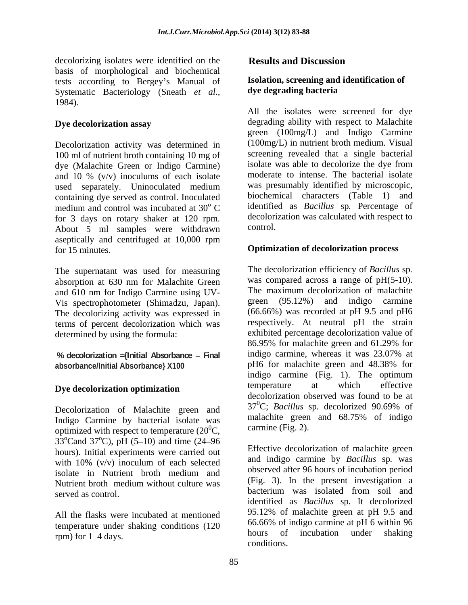decolorizing isolates were identified on the **Results and Discussion** basis of morphological and biochemical tests according to Bergey's Manual of **Isolation, screening and**<br>Systematic Bacteriology (Speath *et al* **dye degrading bacteria** Systematic Bacteriology (Sneath *et al.,* 1984).

Decolorization activity was determined in 100 ml of nutrient broth containing 10 mg of dye (Malachite Green or Indigo Carmine) and 10 % (v/v) inoculums of each isolate used separately. Uninoculated medium was presumably identified by microscopic, containing dye served as control. Inoculated medium and control was incubated at 30<sup>°</sup> C for 3 days on rotary shaker at 120 rpm. decolori<br>About 5 ml samples were withdrawn control. About 5 ml samples were withdrawn aseptically and centrifuged at 10,000 rpm for 15 minutes. **Optimization of decolorization process**

The supernatant was used for measuring absorption at 630 nm for Malachite Green and 610 nm for Indigo Carmine using UV- Vis spectrophotometer (Shimadzu, Japan). The decolorizing activity was expressed in terms of percent decolorization which was

Indigo Carmine by bacterial isolate was optimized with respect to temperature  $(20^0C,$ 33 $^{\circ}$ Cand 37 $^{\circ}$ C), pH (5–10) and time (24–96  $^{\circ}$ C), pH (5-10) and time (24-96 hours). Initial experiments were carried out with 10% (v/v) inoculum of each selected

All the flasks were incubated at mentioned<br>temperature under chaling conditions (120  $\frac{95.12\%}{66.66\%}$  of indigo carmine at pH 6 within 96 temperature under shaking conditions  $(120 - 60.66\% \text{ or } 10.060\% \text{ or } 1.4 \text{ days})$  shaking conditions  $(120 - 60.66\% \text{ or } 10.060\% \text{ or } 1.4 \text{ days})$ 

# **Results and Discussion**

### **Isolation, screening and identification of dye degrading bacteria**

**Dye decolorization assay** degrading ability with respect to Malachite <sup>o</sup> C identified as *Bacillus* sp*.* Percentage of All the isolates were screened for dye green (100mg/L) and Indigo Carmine (100mg/L) in nutrient broth medium. Visual screening revealed that a single bacterial isolate was able to decolorize the dye from moderate to intense. The bacterial isolate was presumably identified by microscopic, biochemical characters (Table 1) and decolorization was calculated with respect to control.

determined by using the formula:<br>
86.95% for malachite green and 61.29% for % **decolorization** = {Initial Absorbance – Final indigo carmine, whereas it was 23.07% at absorbance lnitial Absorbance **X100** pH6 for malachite green and 48.38% for **absorbance/Initial Absorbance} X100** pH6 for malachite green and 48.38% for indigo carmine (Fig. 1). The optimum **Dye decolorization optimization example 1** temperature at which effective Decolorization of Malachite green and  $37^{\circ}$ C; Bacillus sp. decolorized 90.69% of Indigo Cermine by because isolate wes malachite green and 68.75% of indigo The decolorization efficiency of *Bacillus* sp*.* was compared across a range of pH(5-10). The maximum decolorization of malachite green (95.12%) and indigo carmine  $(66.66\%)$  was recorded at pH 9.5 and pH6 respectively. At neutral pH the strain exhibited percentage decolorization value of 86.95% for malachite green and 61.29% for indigo carmine, whereas it was 23.07% at pH6 for malachite green and 48.38% for indigo carmine (Fig. 1). The optimum temperature at which effective decolorization observed was found to be at 370C; *Bacillus* sp*.* decolorized 90.69% of malachite green and 68.75% of indigo carmine (Fig. 2).

isolate in Nutrient broth medium and observed after 90 nours of includation period Nutrient broth medium without culture was  $(\text{Fig. 5})$ . In the present investigation a served as control. bacterium was isolated from soil and rpm) for 1–4 days. hours of incubation under shaking Effective decolorization of malachite green and indigo carmine by *Bacillus* sp*.* was observed after 96 hours of incubation period (Fig. 3). In the present investigation a identified as *Bacillus* sp*.* It decolorized 95.12% of malachite green at pH 9.5 and 66.66% of indigo carmine at pH 6 within 96 hours of incubation under shaking conditions.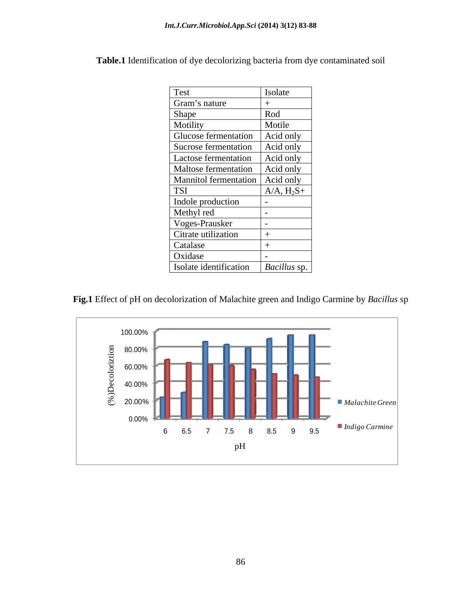| Test                              | Isolate         |
|-----------------------------------|-----------------|
| Gram's nature                     |                 |
| Shape                             | Rod             |
| Motility                          | Motile          |
| Glucose fermentation              | Acid only       |
| Sucrose fermentation              | Acid only       |
| Lactose fermentation              | Acid only       |
| Maltose fermentation              | Acid only       |
| Mannitol fermentation   Acid only |                 |
| <b>TSI</b>                        | $A/A$ , $H_2S+$ |
| Indole production                 |                 |
| Methyl red                        |                 |
| Voges-Prausker                    |                 |
| Citrate utilization               |                 |
| Catalase                          |                 |
| Oxidase                           |                 |
| Isolate identification            | Bacillus sp.    |

**Table.1** Identification of dye decolorizing bacteria from dye contaminated soil



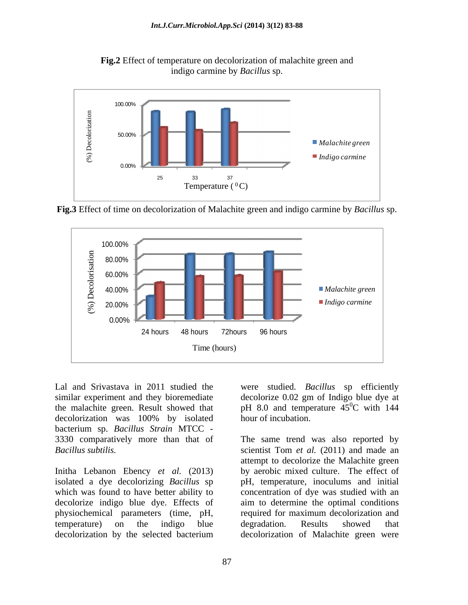



**Fig.3** Effect of time on decolorization of Malachite green and indigo carmine by *Bacillus* sp.



Lal and Srivastava in 2011 studied the were studied. *Bacillus* sp efficiently similar experiment and they bioremediate decolorize 0.02 gm of Indigo blue dye at the malachite green. Result showed that  $\mu$  pH 8.0 and temperature 45<sup>o</sup>C with 144 decolorization was 100% by isolated bacterium sp. *Bacillus Strain* MTCC - 3330 comparatively more than that of

 ${}^{0}C$  with 144 hour of incubation.

*Bacillus subtilis.* scientist Tom *et al.* (2011) and made an Initha Lebanon Ebency *et al.* (2013) by aerobic mixed culture. The effect of isolated a dye decolorizing *Bacillus* sp pH, temperature, inoculums and initial which was found to have better ability to concentration of dye was studied with an decolorize indigo blue dye. Effects of aim to determine the optimal conditions physiochemical parameters (time, pH, required for maximum decolorization and temperature) on the indigo blue degradation. Results showed that decolorization by the selected bacterium decolorization of Malachite green wereThe same trend was also reported by attempt to decolorize the Malachite green degradation. Results showed that